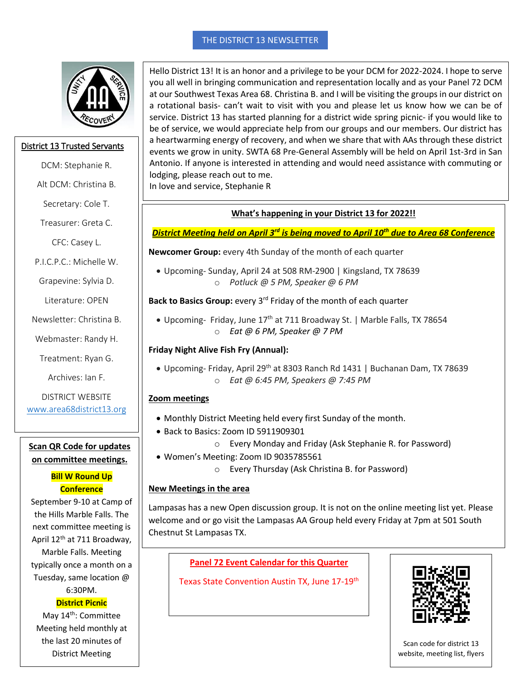#### THE DISTRICT 13 NEWSLETTER



#### District 13 Trusted Servants

- DCM: Stephanie R.
- Alt DCM: Christina B.
	- Secretary: Cole T.
- Treasurer: Greta C.

CFC: Casey L.

P.I.C.P.C.: Michelle W.

Grapevine: Sylvia D.

Literature: OPEN

Newsletter: Christina B.

Webmaster: Randy H.

Treatment: Ryan G.

Archives: Ian F.

DISTRICT WEBSITE [www.area68district13.org](http://www.area68district13.org/)

#### **Scan QR Code for updates on committee meetings.**

# **Bill W Round Up Conference**

September 9-10 at Camp of the Hills Marble Falls. The next committee meeting is April 12th at 711 Broadway, Marble Falls. Meeting typically once a month on a Tuesday, same location @ 6:30PM.

# **District Picnic**

May 14<sup>th</sup>: Committee Meeting held monthly at the last 20 minutes of District Meeting

Hello District 13! It is an honor and a privilege to be your DCM for 2022-2024. I hope to serve you all well in bringing communication and representation locally and as your Panel 72 DCM at our Southwest Texas Area 68. Christina B. and I will be visiting the groups in our district on a rotational basis- can't wait to visit with you and please let us know how we can be of service. District 13 has started planning for a district wide spring picnic- if you would like to be of service, we would appreciate help from our groups and our members. Our district has a heartwarming energy of recovery, and when we share that with AAs through these district events we grow in unity. SWTA 68 Pre-General Assembly will be held on April 1st-3rd in San Antonio. If anyone is interested in attending and would need assistance with commuting or lodging, please reach out to me.

In love and service, Stephanie R

# **What's happening in your District 13 for 2022!!**

# *District Meeting held on April 3rd is being moved to April 10th due to Area 68 Conference*

**Newcomer Group:** every 4th Sunday of the month of each quarter

 Upcoming- Sunday, April 24 at 508 RM-2900 | Kingsland, TX 78639 o *Potluck @ 5 PM, Speaker @ 6 PM*

Back to Basics Group: every 3<sup>rd</sup> Friday of the month of each quarter

• Upcoming- Friday, June 17<sup>th</sup> at 711 Broadway St. | Marble Falls, TX 78654 o *Eat @ 6 PM, Speaker @ 7 PM*

# **Friday Night Alive Fish Fry (Annual):**

• Upcoming- Friday, April 29<sup>th</sup> at 8303 Ranch Rd 1431 | Buchanan Dam, TX 78639 o *Eat @ 6:45 PM, Speakers @ 7:45 PM*

# **Zoom meetings**

- Monthly District Meeting held every first Sunday of the month.
- Back to Basics: Zoom ID 5911909301
	- o Every Monday and Friday (Ask Stephanie R. for Password)
- Women's Meeting: Zoom ID 9035785561
	- o Every Thursday (Ask Christina B. for Password)

# **New Meetings in the area**

Lampasas has a new Open discussion group. It is not on the online meeting list yet. Please welcome and or go visit the Lampasas AA Group held every Friday at 7pm at 501 South Chestnut St Lampasas TX.

**Panel 72 Event Calendar for this Quarter**

Texas State Convention Austin TX, June 17-19<sup>th</sup>



Scan code for district 13 website, meeting list, flyers